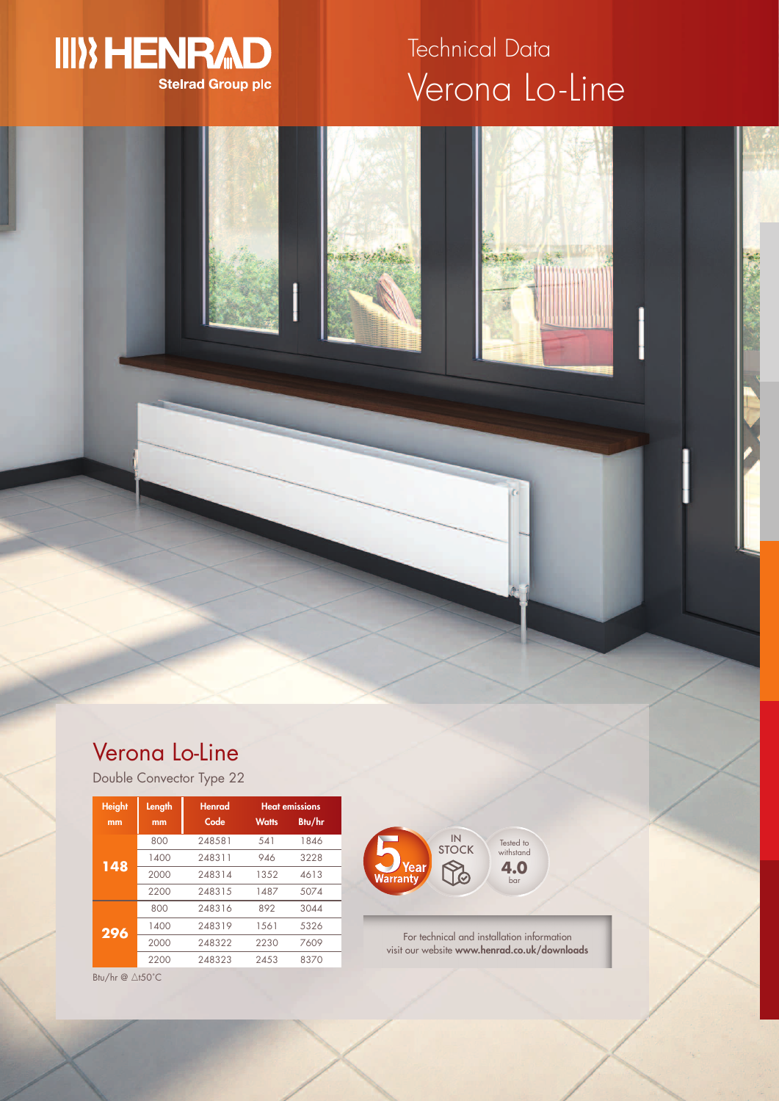

# Verona Lo-Line Technical Data

## Verona Lo-Line

Double Convector Type 22

| <b>Height</b> | Length | <b>Henrad</b> | <b>Heat emissions</b> |        |
|---------------|--------|---------------|-----------------------|--------|
| mm            | mm     | Code          | <b>Watts</b>          | Btu/hr |
| 148           | 800    | 248581        | 541                   | 1846   |
|               | 1400   | 248311        | 946                   | 3228   |
|               | 2000   | 248314        | 1352                  | 4613   |
|               | 2200   | 248315        | 1487                  | 5074   |
|               | 800    | 248316        | 892                   | 3044   |
| 296           | 1400   | 248319        | 1561                  | 5326   |
|               | 2000   | 248322        | 2230                  | 7609   |
|               | 2200   | 248323        | 24.53                 | 8370   |



For technical and installation information visit our website **www.henrad.co.uk/downloads**

Btu/hr  $@$   $\triangle$ t50°C